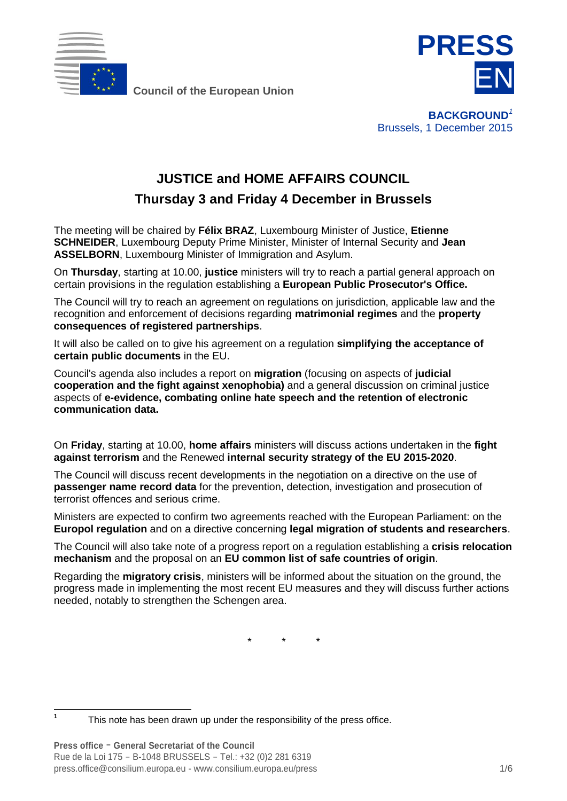

**Council of the European Union**



**BACKGROUND***<sup>1</sup>* Brussels, 1 December 2015

# **JUSTICE and HOME AFFAIRS COUNCIL**

**Thursday 3 and Friday 4 December in Brussels**

The meeting will be chaired by **Félix BRAZ**, Luxembourg Minister of Justice, **Etienne SCHNEIDER**, Luxembourg Deputy Prime Minister, Minister of Internal Security and **Jean ASSELBORN**, Luxembourg Minister of Immigration and Asylum.

On **Thursday**, starting at 10.00, **justice** ministers will try to reach a partial general approach on certain provisions in the regulation establishing a **European Public Prosecutor's Office.**

The Council will try to reach an agreement on regulations on jurisdiction, applicable law and the recognition and enforcement of decisions regarding **matrimonial regimes** and the **property consequences of registered partnerships**.

It will also be called on to give his agreement on a regulation **simplifying the acceptance of certain public documents** in the EU.

Council's agenda also includes a report on **migration** (focusing on aspects of **judicial cooperation and the fight against xenophobia)** and a general discussion on criminal justice aspects of **e-evidence, combating online hate speech and the retention of electronic communication data.**

On **Friday**, starting at 10.00, **home affairs** ministers will discuss actions undertaken in the **fight against terrorism** and the Renewed **internal security strategy of the EU 2015-2020**.

The Council will discuss recent developments in the negotiation on a directive on the use of **passenger name record data** for the prevention, detection, investigation and prosecution of terrorist offences and serious crime.

Ministers are expected to confirm two agreements reached with the European Parliament: on the **Europol regulation** and on a directive concerning **legal migration of students and researchers**.

The Council will also take note of a progress report on a regulation establishing a **crisis relocation mechanism** and the proposal on an **EU common list of safe countries of origin**.

Regarding the **migratory crisis**, ministers will be informed about the situation on the ground, the progress made in implementing the most recent EU measures and they will discuss further actions needed, notably to strengthen the Schengen area.

*\* \* \**

**1**

This note has been drawn up under the responsibility of the press office.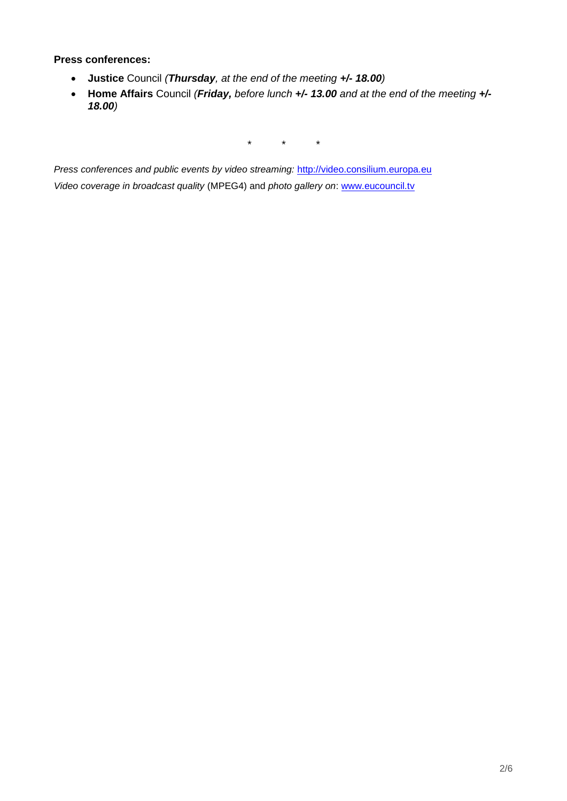### **Press conferences:**

- **Justice** Council *(Thursday, at the end of the meeting +/- 18.00)*
- **Home Affairs** Council *(Friday, before lunch +/- 13.00 and at the end of the meeting +/- 18.00)*

*\* \* \**

*Press conferences and public events by video streaming:* [http://video.consilium.europa.eu](http://video.consilium.europa.eu/) *Video coverage in broadcast quality* (MPEG4) and *photo gallery on*: [www.eucouncil.tv](http://www.eucouncil.tv/)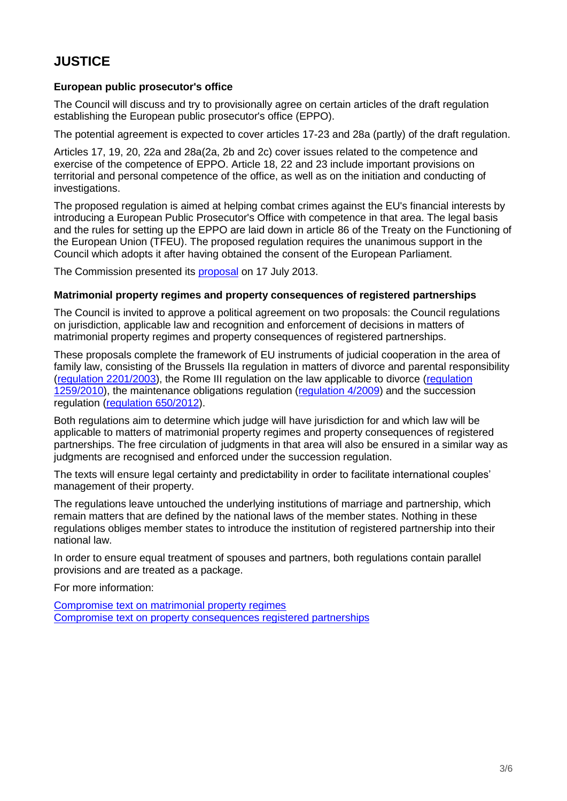# **JUSTICE**

### **European public prosecutor's office**

The Council will discuss and try to provisionally agree on certain articles of the draft regulation establishing the European public prosecutor's office (EPPO).

The potential agreement is expected to cover articles 17-23 and 28a (partly) of the draft regulation.

Articles 17, 19, 20, 22a and 28a(2a, 2b and 2c) cover issues related to the competence and exercise of the competence of EPPO. Article 18, 22 and 23 include important provisions on territorial and personal competence of the office, as well as on the initiation and conducting of investigations.

The proposed regulation is aimed at helping combat crimes against the EU's financial interests by introducing a European Public Prosecutor's Office with competence in that area. The legal basis and the rules for setting up the EPPO are laid down in article 86 of the Treaty on the Functioning of the European Union (TFEU). The proposed regulation requires the unanimous support in the Council which adopts it after having obtained the consent of the European Parliament.

The Commission presented its [proposal](http://data.consilium.europa.eu/doc/document/ST-12558-2013-INIT/en/pdf) on 17 July 2013.

### **Matrimonial property regimes and property consequences of registered partnerships**

The Council is invited to approve a political agreement on two proposals: the Council regulations on jurisdiction, applicable law and recognition and enforcement of decisions in matters of matrimonial property regimes and property consequences of registered partnerships.

These proposals complete the framework of EU instruments of judicial cooperation in the area of family law, consisting of the Brussels IIa regulation in matters of divorce and parental responsibility [\(regulation 2201/2003\)](http://eur-lex.europa.eu/legal-content/EN/TXT/?uri=CELEX:32003R2201), the Rome III regulation on the law applicable to divorce [\(regulation](http://eur-lex.europa.eu/legal-content/EN/TXT/?qid=1417629960334&uri=CELEX:32010R1259)  [1259/2010\)](http://eur-lex.europa.eu/legal-content/EN/TXT/?qid=1417629960334&uri=CELEX:32010R1259), the maintenance obligations regulation [\(regulation 4/2009\)](http://eur-lex.europa.eu/legal-content/EN/TXT/?qid=1417630003603&uri=CELEX:32009R0004) and the succession regulation [\(regulation 650/2012\)](http://eur-lex.europa.eu/legal-content/EN/TXT/?qid=1417630052144&uri=CELEX:32012R0650).

Both regulations aim to determine which judge will have jurisdiction for and which law will be applicable to matters of matrimonial property regimes and property consequences of registered partnerships. The free circulation of judgments in that area will also be ensured in a similar way as judgments are recognised and enforced under the succession regulation.

The texts will ensure legal certainty and predictability in order to facilitate international couples' management of their property.

The regulations leave untouched the underlying institutions of marriage and partnership, which remain matters that are defined by the national laws of the member states. Nothing in these regulations obliges member states to introduce the institution of registered partnership into their national law.

In order to ensure equal treatment of spouses and partners, both regulations contain parallel provisions and are treated as a package.

For more information:

[Compromise text on matrimonial property regimes](http://data.consilium.europa.eu/doc/document/ST-14651-2015-INIT/en/pdf) [Compromise text on property consequences registered partnerships](http://data.consilium.europa.eu/doc/document/ST-14652-2015-INIT/en/pdf)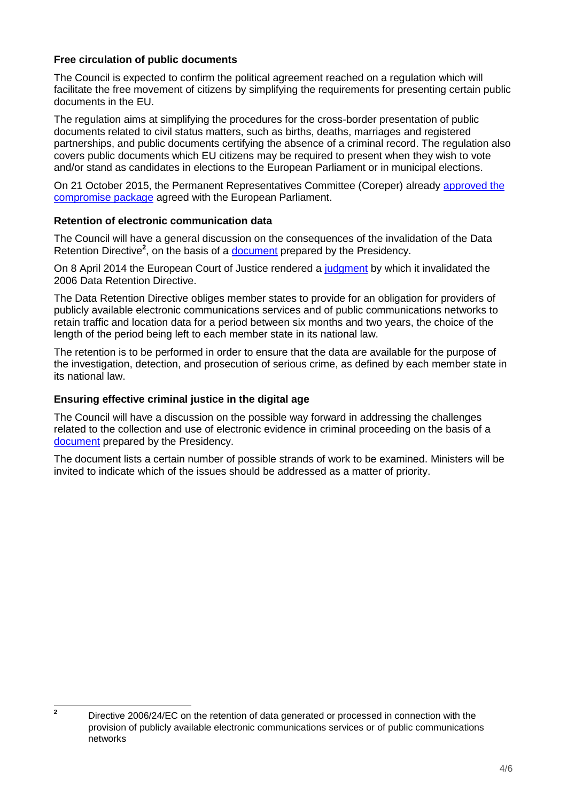# **Free circulation of public documents**

The Council is expected to confirm the political agreement reached on a regulation which will facilitate the free movement of citizens by simplifying the requirements for presenting certain public documents in the EU.

The regulation aims at simplifying the procedures for the cross-border presentation of public documents related to civil status matters, such as births, deaths, marriages and registered partnerships, and public documents certifying the absence of a criminal record. The regulation also covers public documents which EU citizens may be required to present when they wish to vote and/or stand as candidates in elections to the European Parliament or in municipal elections.

On 21 October 2015, the Permanent Representatives Committee (Coreper) already [approved the](http://www.consilium.europa.eu/en/press/press-releases/2015/10/21-free-circulation-public-documents/)  [compromise package](http://www.consilium.europa.eu/en/press/press-releases/2015/10/21-free-circulation-public-documents/) agreed with the European Parliament.

### **Retention of electronic communication data**

The Council will have a general discussion on the consequences of the invalidation of the Data Retention Directive<sup>2</sup>, on the basis of a **document** prepared by the Presidency.

On 8 April 2014 the European Court of Justice rendered a [judgment](http://curia.europa.eu/juris/liste.jsf?pro=&lgrec=fr&nat=or&oqp=&dates=&lg=&language=en&jur=C%2CT%2CF&cit=none%252CC%252CCJ%252CR%252C2008E%252C%252C%252C%252C%252C%252C%252C%252C%252C%252Ctrue%252Cfalse%252Cfalse&num=C-293%252F12&td=%3BALL&pcs=Oor&avg=&page=1&mat=or&jge=&for=&cid=256702) by which it invalidated the 2006 Data Retention Directive.

The Data Retention Directive obliges member states to provide for an obligation for providers of publicly available electronic communications services and of public communications networks to retain traffic and location data for a period between six months and two years, the choice of the length of the period being left to each member state in its national law.

The retention is to be performed in order to ensure that the data are available for the purpose of the investigation, detection, and prosecution of serious crime, as defined by each member state in its national law.

### **Ensuring effective criminal justice in the digital age**

The Council will have a discussion on the possible way forward in addressing the challenges related to the collection and use of electronic evidence in criminal proceeding on the basis of a [document](http://data.consilium.europa.eu/doc/document/ST-14369-2015-INIT/en/pdf) prepared by the Presidency.

The document lists a certain number of possible strands of work to be examined. Ministers will be invited to indicate which of the issues should be addressed as a matter of priority.

 $\overline{2}$ 

**<sup>2</sup>** Directive 2006/24/EC on the retention of data generated or processed in connection with the provision of publicly available electronic communications services or of public communications networks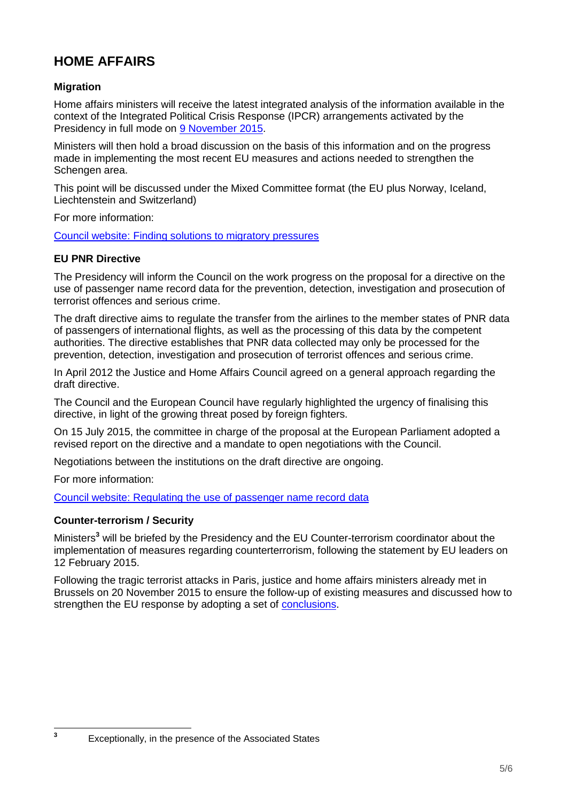# **HOME AFFAIRS**

# **Migration**

Home affairs ministers will receive the latest integrated analysis of the information available in the context of the Integrated Political Crisis Response (IPCR) arrangements activated by the Presidency in full mode on [9 November 2015.](http://www.consilium.europa.eu/en/meetings/jha/2015/11/09/)

Ministers will then hold a broad discussion on the basis of this information and on the progress made in implementing the most recent EU measures and actions needed to strengthen the Schengen area.

This point will be discussed under the Mixed Committee format (the EU plus Norway, Iceland, Liechtenstein and Switzerland)

For more information:

[Council website: Finding solutions to migratory pressures](http://www.consilium.europa.eu/en/policies/migratory-pressures/)

### **EU PNR Directive**

The Presidency will inform the Council on the work progress on the proposal for a directive on the use of passenger name record data for the prevention, detection, investigation and prosecution of terrorist offences and serious crime.

The draft directive aims to regulate the transfer from the airlines to the member states of PNR data of passengers of international flights, as well as the processing of this data by the competent authorities. The directive establishes that PNR data collected may only be processed for the prevention, detection, investigation and prosecution of terrorist offences and serious crime.

In April 2012 the Justice and Home Affairs Council agreed on a general approach regarding the draft directive.

The Council and the European Council have regularly highlighted the urgency of finalising this directive, in light of the growing threat posed by foreign fighters.

On 15 July 2015, the committee in charge of the proposal at the European Parliament adopted a revised report on the directive and a mandate to open negotiations with the Council.

Negotiations between the institutions on the draft directive are ongoing.

For more information:

**3**

[Council website: Regulating the use of passenger name record data](http://www.consilium.europa.eu/en/policies/fight-against-terrorism/passenger-name-record/)

### **Counter-terrorism / Security**

Ministers**<sup>3</sup>** will be briefed by the Presidency and the EU Counter-terrorism coordinator about the implementation of measures regarding counterterrorism, following the statement by EU leaders on 12 February 2015.

Following the tragic terrorist attacks in Paris, justice and home affairs ministers already met in Brussels on 20 November 2015 to ensure the follow-up of existing measures and discussed how to strengthen the EU response by adopting a set of [conclusions.](http://www.consilium.europa.eu/en/press/press-releases/2015/11/20-jha-conclusions-counter-terrorism/)

Exceptionally, in the presence of the Associated States